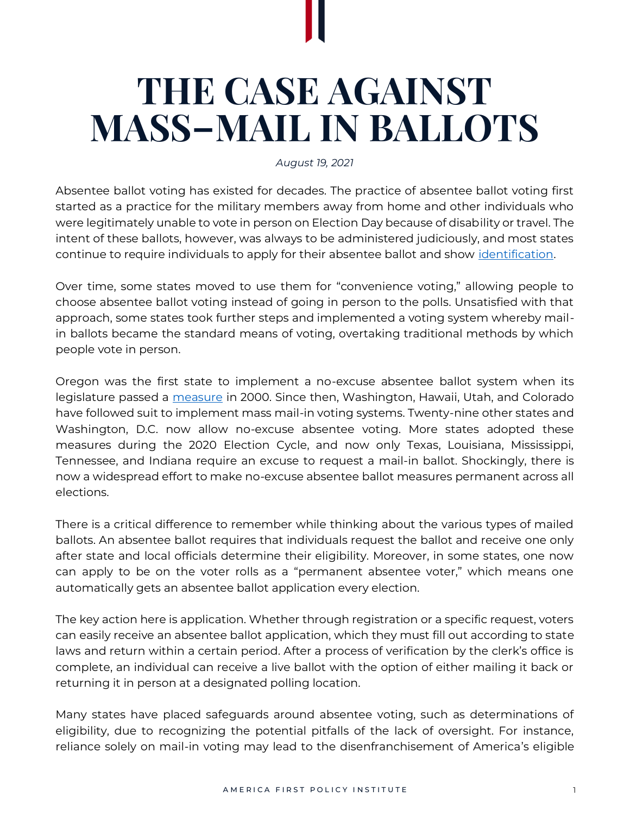## **THE CASE AGAINST MASS–MAIL IN BALLOTS**

*August 19, 2021*

Absentee ballot voting has existed for decades. The practice of absentee ballot voting first started as a practice for the military members away from home and other individuals who were legitimately unable to vote in person on Election Day because of disability or travel. The intent of these ballots, however, was always to be administered judiciously, and most states continue to require individuals to apply for their absentee ballot and show *identification*.

Over time, some states moved to use them for "convenience voting," allowing people to choose absentee ballot voting instead of going in person to the polls. Unsatisfied with that approach, some states took further steps and implemented a voting system whereby mailin ballots became the standard means of voting, overtaking traditional methods by which people vote in person.

Oregon was the first state to implement a no-excuse absentee ballot system when its legislature passed a [measure](https://sos.oregon.gov/elections/Documents/statistics/vote-by-mail-timeline.pdf) in 2000. Since then, Washington, Hawaii, Utah, and Colorado have followed suit to implement mass mail-in voting systems. Twenty-nine other states and Washington, D.C. now allow no-excuse absentee voting. More states adopted these measures during the 2020 Election Cycle, and now only Texas, Louisiana, Mississippi, Tennessee, and Indiana require an excuse to request a mail-in ballot. Shockingly, there is now a widespread effort to make no-excuse absentee ballot measures permanent across all elections.

There is a critical difference to remember while thinking about the various types of mailed ballots. An absentee ballot requires that individuals request the ballot and receive one only after state and local officials determine their eligibility. Moreover, in some states, one now can apply to be on the voter rolls as a "permanent absentee voter," which means one automatically gets an absentee ballot application every election.

The key action here is application. Whether through registration or a specific request, voters can easily receive an absentee ballot application, which they must fill out according to state laws and return within a certain period. After a process of verification by the clerk's office is complete, an individual can receive a live ballot with the option of either mailing it back or returning it in person at a designated polling location.

Many states have placed safeguards around absentee voting, such as determinations of eligibility, due to recognizing the potential pitfalls of the lack of oversight. For instance, reliance solely on mail-in voting may lead to the disenfranchisement of America's eligible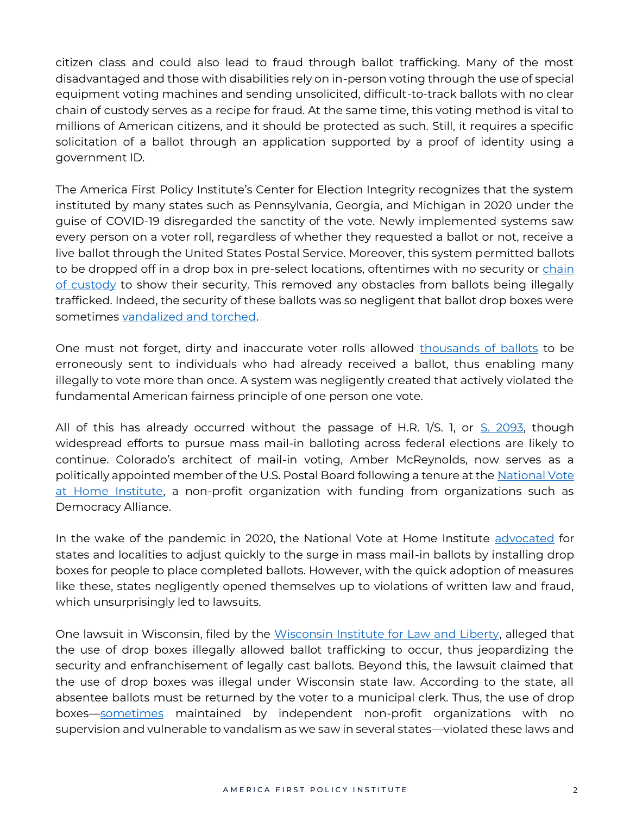citizen class and could also lead to fraud through ballot trafficking. Many of the most disadvantaged and those with disabilities rely on in-person voting through the use of special equipment voting machines and sending unsolicited, difficult-to-track ballots with no clear chain of custody serves as a recipe for fraud. At the same time, this voting method is vital to millions of American citizens, and it should be protected as such. Still, it requires a specific solicitation of a ballot through an application supported by a proof of identity using a government ID.

The America First Policy Institute's Center for Election Integrity recognizes that the system instituted by many states such as Pennsylvania, Georgia, and Michigan in 2020 under the guise of COVID-19 disregarded the sanctity of the vote. Newly implemented systems saw every person on a voter roll, regardless of whether they requested a ballot or not, receive a live ballot through the United States Postal Service. Moreover, this system permitted ballots to be dropped off in a drop box in pre-select locations, oftentimes with no security or chain [of custody](https://www.visiontimes.com/2021/03/15/2020-election-chain-of-custody-still-missing-for-thousands-of-absentee-ballots-in-georgia.html) to show their security. This removed any obstacles from ballots being illegally trafficked. Indeed, the security of these ballots was so negligent that ballot drop boxes were sometimes [vandalized and torched.](https://www.nbcboston.com/news/local/fire-set-to-ballot-drop-box-in-bostons-copley-square-disgrace-to-democracy/2218074/)

One must not forget, dirty and inaccurate voter rolls allowed [thousands of ballots](https://nypost.com/2000/12/19/double-dippers-sign-up-to-vote-in-n-y-and-florida/) to be erroneously sent to individuals who had already received a ballot, thus enabling many illegally to vote more than once. A system was negligently created that actively violated the fundamental American fairness principle of one person one vote.

All of this has already occurred without the passage of H.R. 1/S. 1, or [S. 2093,](https://www.congress.gov/bill/117th-congress/senate-bill/2093) though widespread efforts to pursue mass mail-in balloting across federal elections are likely to continue. Colorado's architect of mail-in voting, Amber McReynolds, now serves as a politically appointed member of the U.S. Postal Board following a tenure at the National Vote [at Home Institute,](https://www.influencewatch.org/non-profit/national-vote-at-home-coalition/) a non-profit organization with funding from organizations such as Democracy Alliance.

In the wake of the pandemic in 2020, the National Vote at Home Institute [advocated](https://www.baltimoresun.com/coronavirus/bs-md-pol-ga-coronavirus-maryland-election-vote-mail-20200311-b54b3nqqvfgwthic4vbrtcr4c4-story.html) for states and localities to adjust quickly to the surge in mass mail-in ballots by installing drop boxes for people to place completed ballots. However, with the quick adoption of measures like these, states negligently opened themselves up to violations of written law and fraud, which unsurprisingly led to lawsuits.

One lawsuit in Wisconsin, filed by the [Wisconsin Institute for Law and Liberty,](https://www.washingtonexaminer.com/news/lawsuit-challenges-wisconsins-use-of-ballot-drop-boxes) alleged that the use of drop boxes illegally allowed ballot trafficking to occur, thus jeopardizing the security and enfranchisement of legally cast ballots. Beyond this, the lawsuit claimed that the use of drop boxes was illegal under Wisconsin state law. According to the state, all absentee ballots must be returned by the voter to a municipal clerk. Thus, the use of drop boxes—[sometimes](https://www.breitbart.com/politics/2021/06/30/lawsuit-filed-in-wisconsin-challenging-legality-of-drop-boxes-for-absentee-ballots/) maintained by independent non-profit organizations with no supervision and vulnerable to vandalism as we saw in several states—violated these laws and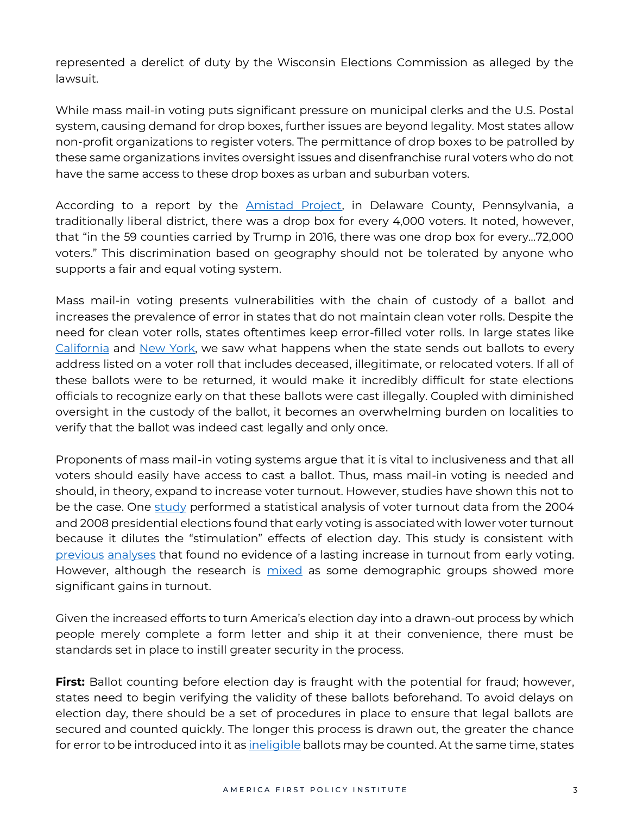represented a derelict of duty by the Wisconsin Elections Commission as alleged by the lawsuit.

While mass mail-in voting puts significant pressure on municipal clerks and the U.S. Postal system, causing demand for drop boxes, further issues are beyond legality. Most states allow non-profit organizations to register voters. The permittance of drop boxes to be patrolled by these same organizations invites oversight issues and disenfranchise rural voters who do not have the same access to these drop boxes as urban and suburban voters.

According to a report by the [Amistad Project,](https://americanvotersalliance.org/wp-content/uploads/2021/06/1.-Bought-and-Sold-for-Big-Tech-Gold.pdf) in Delaware County, Pennsylvania, a traditionally liberal district, there was a drop box for every 4,000 voters. It noted, however, that "in the 59 counties carried by Trump in 2016, there was one drop box for every…72,000 voters." This discrimination based on geography should not be tolerated by anyone who supports a fair and equal voting system.

Mass mail-in voting presents vulnerabilities with the chain of custody of a ballot and increases the prevalence of error in states that do not maintain clean voter rolls. Despite the need for clean voter rolls, states oftentimes keep error-filled voter rolls. In large states like [California](https://www.foxnews.com/politics/gop-sues-california-newsom-vote-by-mail-order-illegal-power-grab-claim) and [New York,](https://nypost.com/2020/11/02/dead-people-caught-voting-in-nyc-elections-records-show/) we saw what happens when the state sends out ballots to every address listed on a voter roll that includes deceased, illegitimate, or relocated voters. If all of these ballots were to be returned, it would make it incredibly difficult for state elections officials to recognize early on that these ballots were cast illegally. Coupled with diminished oversight in the custody of the ballot, it becomes an overwhelming burden on localities to verify that the ballot was indeed cast legally and only once.

Proponents of mass mail-in voting systems argue that it is vital to inclusiveness and that all voters should easily have access to cast a ballot. Thus, mass mail-in voting is needed and should, in theory, expand to increase voter turnout. However, studies have shown this not to be the case. One [study](https://onlinelibrary.wiley.com/doi/full/10.1111/ajps.12063?systemMessage=Wiley+Online+Library+will+be+unavailable+for+approximately+4+hours+between+09%3A00+EDT+and+14%3A00+EDT+on+Saturday%2C+28+September+2013+as+we+make+upgrades+to+improve+our+services+to+you.+There+will+also+be+some+delays+to+online+publishing+between+25+to+28+September+2013.+We+apologize+for+the+inconvenience+and+appreciate+your+patience.+Thank+you+for+using+Wiley+Online+Library%21) performed a statistical analysis of voter turnout data from the 2004 and 2008 presidential elections found that early voting is associated with lower voter turnout because it dilutes the "stimulation" effects of election day. This study is consistent with [previous](https://www.pewresearch.org/fact-tank/2013/09/23/study-early-voting-associated-with-lower-turnout/) [analyses](https://fivethirtyeight.com/features/early-voting-laws-probably-dont-boost-turnout/) that found no evidence of a lasting increase in turnout from early voting. However, although the research is [mixed](https://www.aeaweb.org/articles?id=10.1257/app.20180192) as some demographic groups showed more significant gains in turnout.

Given the increased efforts to turn America's election day into a drawn-out process by which people merely complete a form letter and ship it at their convenience, there must be standards set in place to instill greater security in the process.

**First:** Ballot counting before election day is fraught with the potential for fraud; however, states need to begin verifying the validity of these ballots beforehand. To avoid delays on election day, there should be a set of procedures in place to ensure that legal ballots are secured and counted quickly. The longer this process is drawn out, the greater the chance for error to be introduced into it a[s ineligible](https://nypost.com/2020/11/06/justice-alito-orders-pennsylvania-officials-divide-late-ballots/) ballots may be counted. At the same time, states